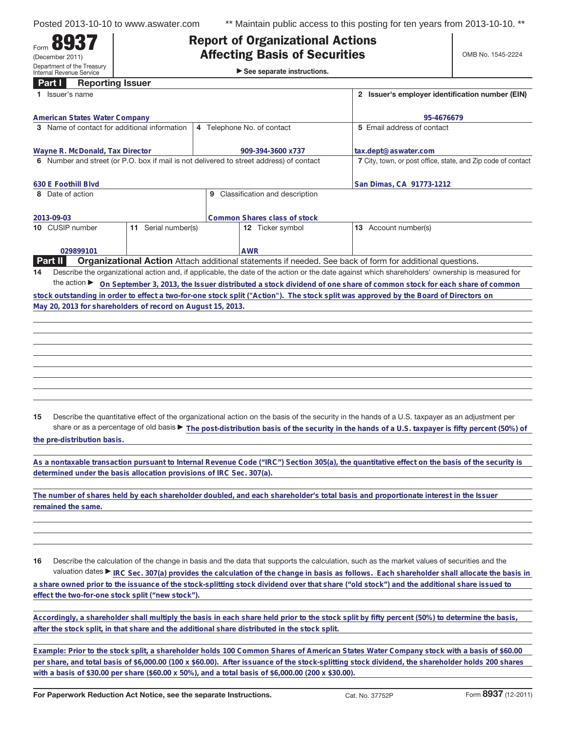Form **8937** (December 2011)

Department of the Treasury Internal Revenue Service

Posted 2013-10-10 to www.aswater.com \*\* Maintain public access to this posting for ten years from 2013-10-10. \*\*

## **Affecting Basis of Securities Affection Basis of Security of Security of Security Security Security Security Security Security Security Security Security Security Security Security Security Security Security Security Security Security Security Securit**

|  |  | $\triangleright$ See separate instructions. |
|--|--|---------------------------------------------|
|--|--|---------------------------------------------|

| Part I              | <b>Reporting Issuer</b>              |                                                                      |                                                                                               |                                                                                                                                                 |  |  |
|---------------------|--------------------------------------|----------------------------------------------------------------------|-----------------------------------------------------------------------------------------------|-------------------------------------------------------------------------------------------------------------------------------------------------|--|--|
|                     | Issuer's name                        |                                                                      |                                                                                               | 2 Issuer's employer identification number (EIN)                                                                                                 |  |  |
|                     | <b>American States Water Company</b> |                                                                      |                                                                                               | 95-4676679                                                                                                                                      |  |  |
|                     |                                      | 3 Name of contact for additional information                         | 4 Telephone No. of contact                                                                    | 5 Email address of contact                                                                                                                      |  |  |
|                     |                                      |                                                                      |                                                                                               |                                                                                                                                                 |  |  |
|                     | Wayne R. McDonald, Tax Director      |                                                                      | 909-394-3600 x737                                                                             | tax.dept@aswater.com                                                                                                                            |  |  |
|                     |                                      |                                                                      | 6 Number and street (or P.O. box if mail is not delivered to street address) of contact       | 7 City, town, or post office, state, and Zip code of contact                                                                                    |  |  |
|                     |                                      |                                                                      |                                                                                               |                                                                                                                                                 |  |  |
| 630 E Foothill Blvd |                                      |                                                                      |                                                                                               | San Dimas, CA 91773-1212                                                                                                                        |  |  |
| 8 Date of action    |                                      |                                                                      | 9 Classification and description                                                              |                                                                                                                                                 |  |  |
|                     |                                      |                                                                      |                                                                                               |                                                                                                                                                 |  |  |
| 2013-09-03          |                                      |                                                                      | Common Shares class of stock                                                                  |                                                                                                                                                 |  |  |
| 10 CUSIP number     |                                      | 11 Serial number(s)                                                  | 12 Ticker symbol                                                                              | 13 Account number(s)                                                                                                                            |  |  |
|                     |                                      |                                                                      |                                                                                               |                                                                                                                                                 |  |  |
| Part II             | 029899101                            |                                                                      | <b>AWR</b>                                                                                    | Organizational Action Attach additional statements if needed. See back of form for additional questions.                                        |  |  |
| 14                  |                                      |                                                                      |                                                                                               | Describe the organizational action and, if applicable, the date of the action or the date against which shareholders' ownership is measured for |  |  |
|                     |                                      |                                                                      |                                                                                               | the action ► On September 3, 2013, the Issuer distributed a stock dividend of one share of common stock for each share of common                |  |  |
|                     |                                      |                                                                      |                                                                                               | stock outstanding in order to effect a two-for-one stock split ("Action"). The stock split was approved by the Board of Directors on            |  |  |
|                     |                                      | May 20, 2013 for shareholders of record on August 15, 2013.          |                                                                                               |                                                                                                                                                 |  |  |
|                     |                                      |                                                                      |                                                                                               |                                                                                                                                                 |  |  |
|                     |                                      |                                                                      |                                                                                               |                                                                                                                                                 |  |  |
|                     |                                      |                                                                      |                                                                                               |                                                                                                                                                 |  |  |
|                     |                                      |                                                                      |                                                                                               |                                                                                                                                                 |  |  |
|                     |                                      |                                                                      |                                                                                               |                                                                                                                                                 |  |  |
|                     |                                      |                                                                      |                                                                                               |                                                                                                                                                 |  |  |
|                     |                                      |                                                                      |                                                                                               |                                                                                                                                                 |  |  |
|                     |                                      |                                                                      |                                                                                               |                                                                                                                                                 |  |  |
|                     |                                      |                                                                      |                                                                                               |                                                                                                                                                 |  |  |
| 15                  |                                      |                                                                      |                                                                                               | Describe the quantitative effect of the organizational action on the basis of the security in the hands of a U.S. taxpayer as an adjustment per |  |  |
|                     |                                      |                                                                      |                                                                                               | share or as a percentage of old basis > The post-distribution basis of the security in the hands of a U.S. taxpayer is fifty percent (50%) of   |  |  |
|                     | the pre-distribution basis.          |                                                                      |                                                                                               |                                                                                                                                                 |  |  |
|                     |                                      |                                                                      |                                                                                               |                                                                                                                                                 |  |  |
|                     |                                      |                                                                      |                                                                                               | As a nontaxable transaction pursuant to Internal Revenue Code ("IRC") Section 305(a), the quantitative effect on the basis of the security is   |  |  |
|                     |                                      | determined under the basis allocation provisions of IRC Sec. 307(a). |                                                                                               |                                                                                                                                                 |  |  |
|                     |                                      |                                                                      |                                                                                               |                                                                                                                                                 |  |  |
|                     |                                      |                                                                      |                                                                                               | The number of shares held by each shareholder doubled, and each shareholder's total basis and proportionate interest in the Issuer              |  |  |
| remained the same.  |                                      |                                                                      |                                                                                               |                                                                                                                                                 |  |  |
|                     |                                      |                                                                      |                                                                                               |                                                                                                                                                 |  |  |
|                     |                                      |                                                                      |                                                                                               |                                                                                                                                                 |  |  |
|                     |                                      |                                                                      |                                                                                               |                                                                                                                                                 |  |  |
|                     |                                      |                                                                      |                                                                                               |                                                                                                                                                 |  |  |
| 16                  |                                      |                                                                      |                                                                                               | Describe the calculation of the change in basis and the data that supports the calculation, such as the market values of securities and the     |  |  |
|                     |                                      |                                                                      |                                                                                               | valuation dates ► IRC Sec. 307(a) provides the calculation of the change in basis as follows. Each shareholder shall allocate the basis in      |  |  |
|                     |                                      |                                                                      |                                                                                               | a share owned prior to the issuance of the stock-splitting stock dividend over that share ("old stock") and the additional share issued to      |  |  |
|                     |                                      | effect the two-for-one stock split ("new stock")                     |                                                                                               |                                                                                                                                                 |  |  |
|                     |                                      |                                                                      |                                                                                               |                                                                                                                                                 |  |  |
|                     |                                      |                                                                      |                                                                                               | Accordingly, a shareholder shall multiply the basis in each share held prior to the stock split by fifty percent (50%) to determine the basis,  |  |  |
|                     |                                      |                                                                      | after the stock split, in that share and the additional share distributed in the stock split. |                                                                                                                                                 |  |  |
|                     |                                      |                                                                      |                                                                                               |                                                                                                                                                 |  |  |
|                     |                                      |                                                                      |                                                                                               | Example: Prior to the stock split, a shareholder holds 100 Common Shares of American States Water Company stock with a basis of \$60.00         |  |  |

**per share, and total basis of \$6,000.00 (100 x \$60.00). After issuance of the stock-splitting stock dividend, the shareholder holds 200 shares with a basis of \$30.00 per share (\$60.00 x 50%), and a total basis of \$6,000.00 (200 x \$30.00).**